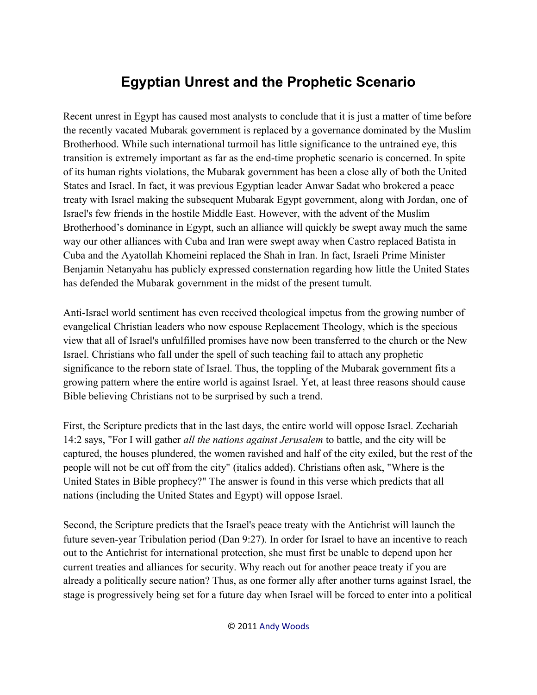## **Egyptian Unrest and the Prophetic Scenario**

Recent unrest in Egypt has caused most analysts to conclude that it is just a matter of time before the recently vacated Mubarak government is replaced by a governance dominated by the Muslim Brotherhood. While such international turmoil has little significance to the untrained eye, this transition is extremely important as far as the end-time prophetic scenario is concerned. In spite of its human rights violations, the Mubarak government has been a close ally of both the United States and Israel. In fact, it was previous Egyptian leader Anwar Sadat who brokered a peace treaty with Israel making the subsequent Mubarak Egypt government, along with Jordan, one of Israel's few friends in the hostile Middle East. However, with the advent of the Muslim Brotherhood's dominance in Egypt, such an alliance will quickly be swept away much the same way our other alliances with Cuba and Iran were swept away when Castro replaced Batista in Cuba and the Ayatollah Khomeini replaced the Shah in Iran. In fact, Israeli Prime Minister Benjamin Netanyahu has publicly expressed consternation regarding how little the United States has defended the Mubarak government in the midst of the present tumult.

Anti-Israel world sentiment has even received theological impetus from the growing number of evangelical Christian leaders who now espouse Replacement Theology, which is the specious view that all of Israel's unfulfilled promises have now been transferred to the church or the New Israel. Christians who fall under the spell of such teaching fail to attach any prophetic significance to the reborn state of Israel. Thus, the toppling of the Mubarak government fits a growing pattern where the entire world is against Israel. Yet, at least three reasons should cause Bible believing Christians not to be surprised by such a trend.

First, the Scripture predicts that in the last days, the entire world will oppose Israel. Zechariah 14:2 says, "For I will gather *all the nations against Jerusalem* to battle, and the city will be captured, the houses plundered, the women ravished and half of the city exiled, but the rest of the people will not be cut off from the city" (italics added). Christians often ask, "Where is the United States in Bible prophecy?" The answer is found in this verse which predicts that all nations (including the United States and Egypt) will oppose Israel.

Second, the Scripture predicts that the Israel's peace treaty with the Antichrist will launch the future seven-year Tribulation period (Dan 9:27). In order for Israel to have an incentive to reach out to the Antichrist for international protection, she must first be unable to depend upon her current treaties and alliances for security. Why reach out for another peace treaty if you are already a politically secure nation? Thus, as one former ally after another turns against Israel, the stage is progressively being set for a future day when Israel will be forced to enter into a political